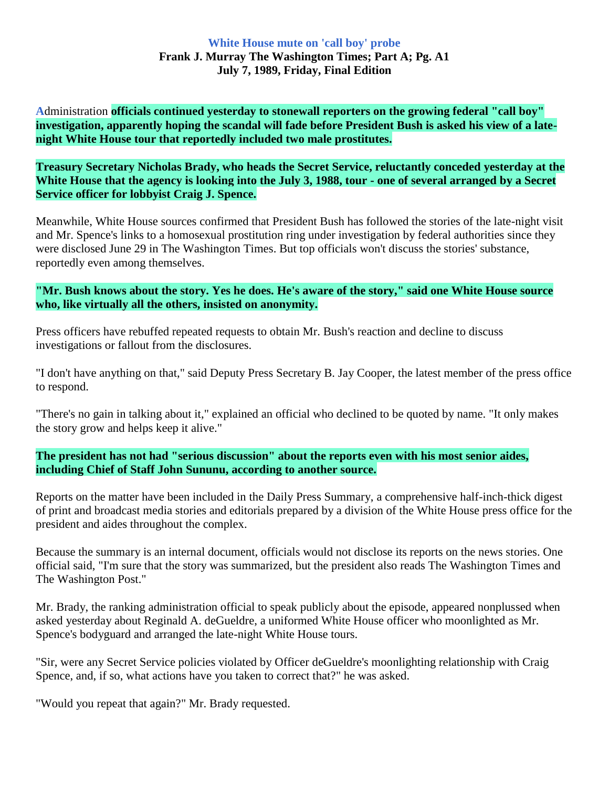## **White House mute on 'call boy' probe Frank J. Murray The Washington Times; Part A; Pg. A1 July 7, 1989, Friday, Final Edition**

**A**dministration **officials continued yesterday to stonewall reporters on the growing federal "call boy" investigation, apparently hoping the scandal will fade before President Bush is asked his view of a latenight White House tour that reportedly included two male prostitutes.**

**Treasury Secretary Nicholas Brady, who heads the Secret Service, reluctantly conceded yesterday at the White House that the agency is looking into the July 3, 1988, tour - one of several arranged by a Secret Service officer for lobbyist Craig J. Spence.**

Meanwhile, White House sources confirmed that President Bush has followed the stories of the late-night visit and Mr. Spence's links to a homosexual prostitution ring under investigation by federal authorities since they were disclosed June 29 in The Washington Times. But top officials won't discuss the stories' substance, reportedly even among themselves.

## **"Mr. Bush knows about the story. Yes he does. He's aware of the story," said one White House source who, like virtually all the others, insisted on anonymity.**

Press officers have rebuffed repeated requests to obtain Mr. Bush's reaction and decline to discuss investigations or fallout from the disclosures.

"I don't have anything on that," said Deputy Press Secretary B. Jay Cooper, the latest member of the press office to respond.

"There's no gain in talking about it," explained an official who declined to be quoted by name. "It only makes the story grow and helps keep it alive."

**The president has not had "serious discussion" about the reports even with his most senior aides, including Chief of Staff John Sununu, according to another source.**

Reports on the matter have been included in the Daily Press Summary, a comprehensive half-inch-thick digest of print and broadcast media stories and editorials prepared by a division of the White House press office for the president and aides throughout the complex.

Because the summary is an internal document, officials would not disclose its reports on the news stories. One official said, "I'm sure that the story was summarized, but the president also reads The Washington Times and The Washington Post."

Mr. Brady, the ranking administration official to speak publicly about the episode, appeared nonplussed when asked yesterday about Reginald A. deGueldre, a uniformed White House officer who moonlighted as Mr. Spence's bodyguard and arranged the late-night White House tours.

"Sir, were any Secret Service policies violated by Officer deGueldre's moonlighting relationship with Craig Spence, and, if so, what actions have you taken to correct that?" he was asked.

"Would you repeat that again?" Mr. Brady requested.